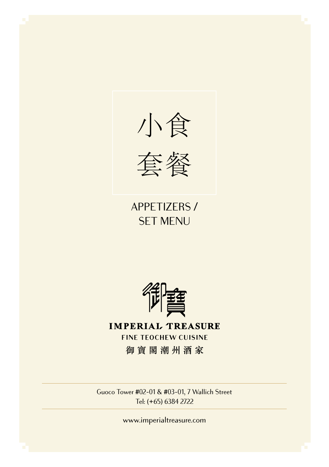

APPETIZERS / SET MENU



**IMPERIAL TREASURE FINE TEOCHEW CUISINE** 御寶閣潮州酒家

Guoco Tower #02-01 & #03-01, 7 Wallich Street Tel: (+65) 6384 2722

www.imperialtreasure.com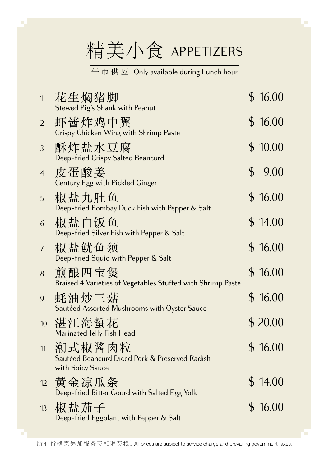精美小食 APPETIZERS

午 市 供 应 Only available during Lunch hour

| $\mathbf{1}$   | 花生焖猪脚<br>Stewed Pig's Shank with Peanut                                      | \$16.00    |
|----------------|------------------------------------------------------------------------------|------------|
| 2              | 虾酱炸鸡中翼<br>Crispy Chicken Wing with Shrimp Paste                              | \$16.00    |
| 3              | 酥炸盐水豆腐<br>Deep-fried Crispy Salted Beancurd                                  | \$10.00    |
| $\overline{4}$ | 皮蛋酸姜<br>Century Egg with Pickled Ginger                                      | \$<br>9.00 |
| 5              | 椒盐九肚鱼<br>Deep-fried Bombay Duck Fish with Pepper & Salt                      | \$16.00    |
| 6              | 椒盐白饭鱼<br>Deep-fried Silver Fish with Pepper & Salt                           | \$14.00    |
| 7              | 椒盐鱿鱼须<br>Deep-fried Squid with Pepper & Salt                                 | \$16.00    |
| 8              | 煎酿四宝煲<br>Braised 4 Varieties of Vegetables Stuffed with Shrimp Paste         | \$16.00    |
| 9              | 蚝油炒三菇<br>Sautéed Assorted Mushrooms with Oyster Sauce                        | \$16.00    |
| 10             | 湛江海蜇花<br>Marinated Jelly Fish Head                                           | \$20.00    |
| 11             | 潮式椒酱肉粒<br>Sautéed Beancurd Diced Pork & Preserved Radish<br>with Spicy Sauce | \$16.00    |
| 12             | 黃金凉瓜条<br>Deep-fried Bitter Gourd with Salted Egg Yolk                        | \$14.00    |
| 13             | 椒盐茄子<br>Deep-fried Eggplant with Pepper & Salt                               | \$16.00    |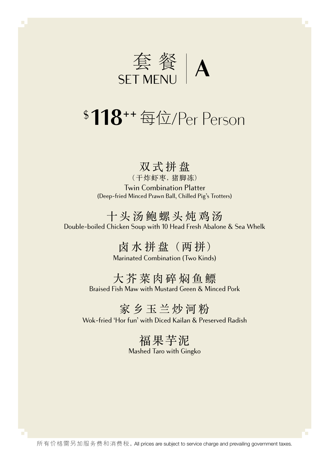

# \$ **118**++ 每位/Per Person

#### 双式拼盘

(干炸虾枣, 猪脚冻) Twin Combination Platter (Deep-fried Minced Prawn Ball, Chilled Pig's Trotters)

十头汤鲍螺头炖鸡汤 Double-boiled Chicken Soup with 10 Head Fresh Abalone & Sea Whelk

> 卤水拼盘 (两拼) Marinated Combination (Two Kinds)

大芥菜肉碎焖鱼鳔 Braised Fish Maw with Mustard Green & Minced Pork

家乡玉兰炒河粉

Wok-fried 'Hor fun' with Diced Kailan & Preserved Radish

福果芋泥 Mashed Taro with Gingko

所有价格需另加服务费和消费税。All prices are subject to service charge and prevailing government taxes.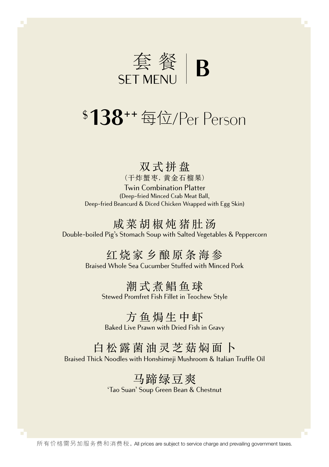

## \$ **138**++ 每位/Per Person

#### 双式拼盘

(干炸蟹枣, 黄金石榴果) Twin Combination Platter (Deep-fried Minced Crab Meat Ball,

Deep-fried Beancurd & Diced Chicken Wrapped with Egg Skin)

#### 咸菜胡椒炖猪肚汤 Double-boiled Pig's Stomach Soup with Salted Vegetables & Peppercorn

## 红烧家乡酿原条海参

Braised Whole Sea Cucumber Stuffed with Minced Pork

#### 潮式煮鲳鱼球

Stewed Promfret Fish Fillet in Teochew Style

#### 方鱼焗生中虾 Baked Live Prawn with Dried Fish in Gravy

#### 白松露菌油灵芝菇焖面卜 Braised Thick Noodles with Honshimeii Mushroom & Italian Truffle Oil

## 马蹄绿豆爽

'Tao Suan' Soup Green Bean & Chestnut

所有价格需另加服务费和消费税。All prices are subject to service charge and prevailing government taxes.